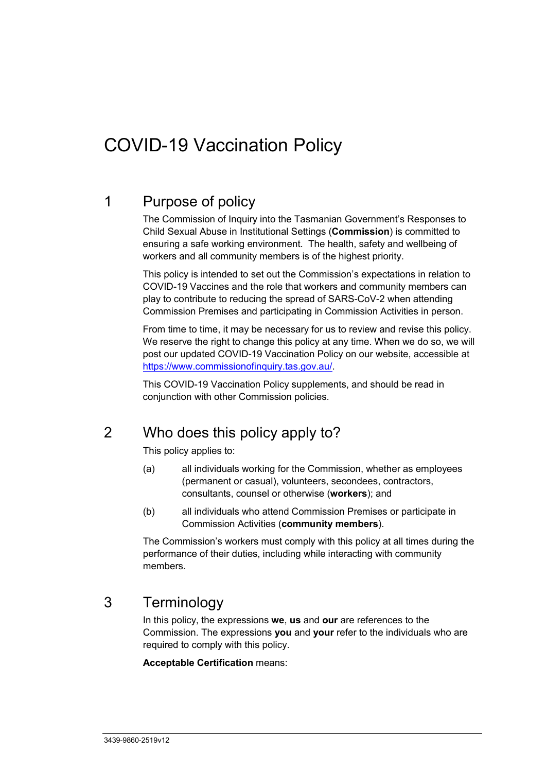# COVID-19 Vaccination Policy

## 1 Purpose of policy

The Commission of Inquiry into the Tasmanian Government's Responses to Child Sexual Abuse in Institutional Settings (**Commission**) is committed to ensuring a safe working environment. The health, safety and wellbeing of workers and all community members is of the highest priority.

This policy is intended to set out the Commission's expectations in relation to COVID-19 Vaccines and the role that workers and community members can play to contribute to reducing the spread of SARS-CoV-2 when attending Commission Premises and participating in Commission Activities in person.

From time to time, it may be necessary for us to review and revise this policy. We reserve the right to change this policy at any time. When we do so, we will post our updated COVID-19 Vaccination Policy on our website, accessible at [https://www.commissionofinquiry.tas.gov.au/.](https://www.commissionofinquiry.tas.gov.au/)

This COVID-19 Vaccination Policy supplements, and should be read in conjunction with other Commission policies.

### 2 Who does this policy apply to?

This policy applies to:

- (a) all individuals working for the Commission, whether as employees (permanent or casual), volunteers, secondees, contractors, consultants, counsel or otherwise (**workers**); and
- (b) all individuals who attend Commission Premises or participate in Commission Activities (**community members**).

The Commission's workers must comply with this policy at all times during the performance of their duties, including while interacting with community members.

### 3 Terminology

In this policy, the expressions **we**, **us** and **our** are references to the Commission. The expressions **you** and **your** refer to the individuals who are required to comply with this policy.

#### **Acceptable Certification** means: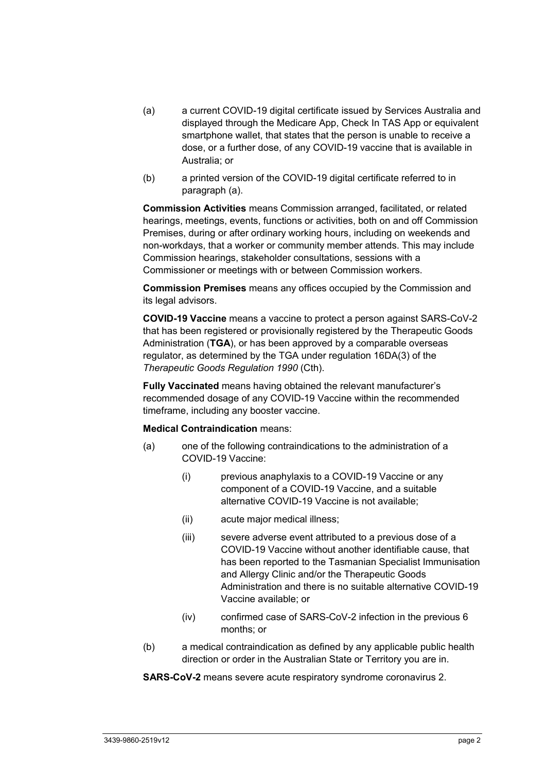- (a) a current COVID-19 digital certificate issued by Services Australia and displayed through the Medicare App, Check In TAS App or equivalent smartphone wallet, that states that the person is unable to receive a dose, or a further dose, of any COVID-19 vaccine that is available in Australia; or
- (b) a printed version of the COVID-19 digital certificate referred to in paragraph (a).

**Commission Activities** means Commission arranged, facilitated, or related hearings, meetings, events, functions or activities, both on and off Commission Premises, during or after ordinary working hours, including on weekends and non-workdays, that a worker or community member attends. This may include Commission hearings, stakeholder consultations, sessions with a Commissioner or meetings with or between Commission workers.

**Commission Premises** means any offices occupied by the Commission and its legal advisors.

**COVID-19 Vaccine** means a vaccine to protect a person against SARS-CoV-2 that has been registered or provisionally registered by the Therapeutic Goods Administration (**TGA**), or has been approved by a comparable overseas regulator, as determined by the TGA under regulation 16DA(3) of the *Therapeutic Goods Regulation 1990* (Cth).

**Fully Vaccinated** means having obtained the relevant manufacturer's recommended dosage of any COVID-19 Vaccine within the recommended timeframe, including any booster vaccine.

#### **Medical Contraindication** means:

- (a) one of the following contraindications to the administration of a COVID-19 Vaccine:
	- (i) previous anaphylaxis to a COVID-19 Vaccine or any component of a COVID-19 Vaccine, and a suitable alternative COVID-19 Vaccine is not available;
	- (ii) acute major medical illness;
	- (iii) severe adverse event attributed to a previous dose of a COVID-19 Vaccine without another identifiable cause, that has been reported to the Tasmanian Specialist Immunisation and Allergy Clinic and/or the Therapeutic Goods Administration and there is no suitable alternative COVID-19 Vaccine available; or
	- (iv) confirmed case of SARS-CoV-2 infection in the previous 6 months; or
- (b) a medical contraindication as defined by any applicable public health direction or order in the Australian State or Territory you are in.

**SARS-CoV-2** means severe acute respiratory syndrome coronavirus 2.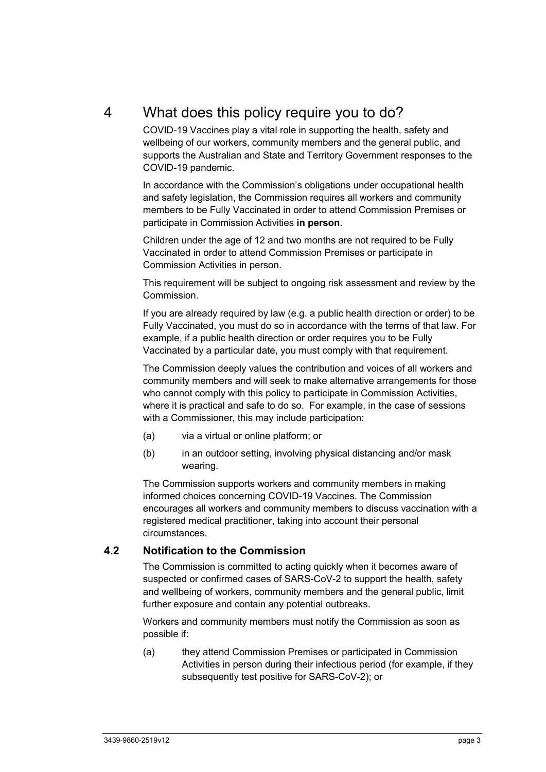## 4 What does this policy require you to do?

COVID-19 Vaccines play a vital role in supporting the health, safety and wellbeing of our workers, community members and the general public, and supports the Australian and State and Territory Government responses to the COVID-19 pandemic.

In accordance with the Commission's obligations under occupational health and safety legislation, the Commission requires all workers and community members to be Fully Vaccinated in order to attend Commission Premises or participate in Commission Activities **in person**.

Children under the age of 12 and two months are not required to be Fully Vaccinated in order to attend Commission Premises or participate in Commission Activities in person.

This requirement will be subject to ongoing risk assessment and review by the Commission.

If you are already required by law (e.g. a public health direction or order) to be Fully Vaccinated, you must do so in accordance with the terms of that law. For example, if a public health direction or order requires you to be Fully Vaccinated by a particular date, you must comply with that requirement.

The Commission deeply values the contribution and voices of all workers and community members and will seek to make alternative arrangements for those who cannot comply with this policy to participate in Commission Activities, where it is practical and safe to do so. For example, in the case of sessions with a Commissioner, this may include participation:

- (a) via a virtual or online platform; or
- (b) in an outdoor setting, involving physical distancing and/or mask wearing.

The Commission supports workers and community members in making informed choices concerning COVID-19 Vaccines. The Commission encourages all workers and community members to discuss vaccination with a registered medical practitioner, taking into account their personal circumstances.

#### **4.2 Notification to the Commission**

The Commission is committed to acting quickly when it becomes aware of suspected or confirmed cases of SARS-CoV-2 to support the health, safety and wellbeing of workers, community members and the general public, limit further exposure and contain any potential outbreaks.

Workers and community members must notify the Commission as soon as possible if:

(a) they attend Commission Premises or participated in Commission Activities in person during their infectious period (for example, if they subsequently test positive for SARS-CoV-2); or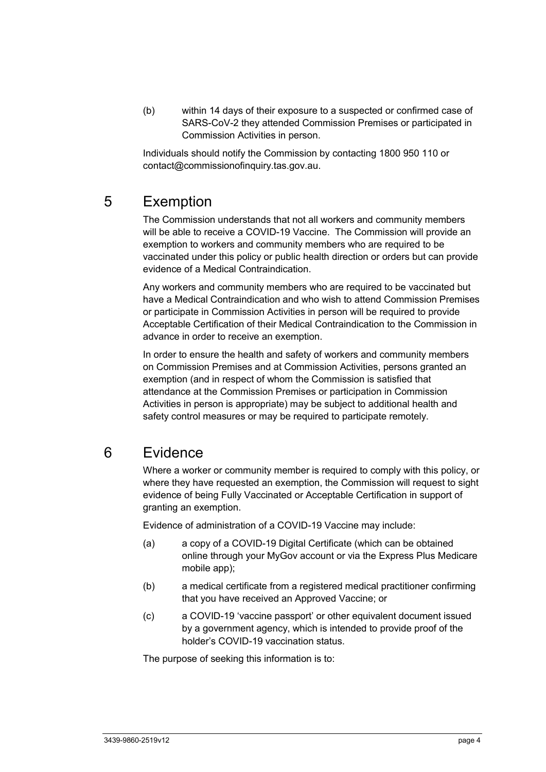(b) within 14 days of their exposure to a suspected or confirmed case of SARS-CoV-2 they attended Commission Premises or participated in Commission Activities in person.

Individuals should notify the Commission by contacting 1800 950 110 or contact@commissionofinquiry.tas.gov.au.

# 5 Exemption

The Commission understands that not all workers and community members will be able to receive a COVID-19 Vaccine. The Commission will provide an exemption to workers and community members who are required to be vaccinated under this policy or public health direction or orders but can provide evidence of a Medical Contraindication.

Any workers and community members who are required to be vaccinated but have a Medical Contraindication and who wish to attend Commission Premises or participate in Commission Activities in person will be required to provide Acceptable Certification of their Medical Contraindication to the Commission in advance in order to receive an exemption.

In order to ensure the health and safety of workers and community members on Commission Premises and at Commission Activities, persons granted an exemption (and in respect of whom the Commission is satisfied that attendance at the Commission Premises or participation in Commission Activities in person is appropriate) may be subject to additional health and safety control measures or may be required to participate remotely.

### 6 Evidence

Where a worker or community member is required to comply with this policy, or where they have requested an exemption, the Commission will request to sight evidence of being Fully Vaccinated or Acceptable Certification in support of granting an exemption.

Evidence of administration of a COVID-19 Vaccine may include:

- (a) a copy of a COVID-19 Digital Certificate (which can be obtained online through your MyGov account or via the Express Plus Medicare mobile app);
- (b) a medical certificate from a registered medical practitioner confirming that you have received an Approved Vaccine; or
- (c) a COVID-19 'vaccine passport' or other equivalent document issued by a government agency, which is intended to provide proof of the holder's COVID-19 vaccination status.

The purpose of seeking this information is to: